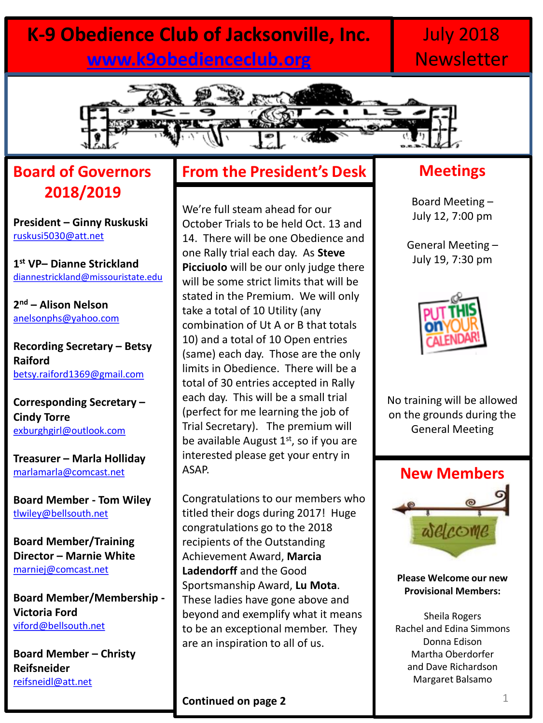# **K-9 Obedience Club of Jacksonville, Inc. [www.k9obedienceclub.org](http://www.k9obedienceclub.org/)**

# July 2018 **Newsletter**



# **Board of Governors 2018/2019**

**President – Ginny Ruskuski** [ruskusi5030@att.net](mailto:ruskusi5030@att.net)

**1 st VP– Dianne Strickland** [diannestrickland@missouristate.edu](mailto:diannestrickland@missouristate.edu)

**2 nd – Alison Nelson** [anelsonphs@yahoo.com](mailto:anelsonphs@yahoo.com)

**Recording Secretary – Betsy Raiford** [betsy.raiford1369@gmail.com](mailto:betsy.raiford1369@gmail.com)

**Corresponding Secretary – Cindy Torre** [exburghgirl@outlook.com](mailto:exburghgirl@outlook.com)

**Treasurer – Marla Holliday** [marlamarla@comcast.net](mailto:marlamarla@comcast.net)

**Board Member - Tom Wiley** [tlwiley@bellsouth.net](mailto:tlwiley@bellsouth.net)

**Board Member/Training Director – Marnie White**  [marniej@comcast.net](mailto:marniej@comcast.net)

**Board Member/Membership - Victoria Ford** [viford@bellsouth.net](mailto:viford@bellsouth.net)

**Board Member – Christy Reifsneider** [reifsneidl@att.net](mailto:reifsneidl@att.net)

## **From the President's Desk**

We're full steam ahead for our October Trials to be held Oct. 13 and 14. There will be one Obedience and one Rally trial each day. As **Steve Picciuolo** will be our only judge there will be some strict limits that will be stated in the Premium. We will only take a total of 10 Utility (any combination of Ut A or B that totals 10) and a total of 10 Open entries (same) each day. Those are the only limits in Obedience. There will be a total of 30 entries accepted in Rally each day. This will be a small trial (perfect for me learning the job of Trial Secretary). The premium will be available August  $1<sup>st</sup>$ , so if you are interested please get your entry in ASAP.

Congratulations to our members who titled their dogs during 2017! Huge congratulations go to the 2018 recipients of the Outstanding Achievement Award, **Marcia Ladendorff** and the Good Sportsmanship Award, **Lu Mota**. These ladies have gone above and beyond and exemplify what it means to be an exceptional member. They are an inspiration to all of us.

## **Meetings**

Board Meeting – July 12, 7:00 pm

General Meeting – July 19, 7:30 pm



No training will be allowed on the grounds during the General Meeting



**Please Welcome our new Provisional Members:**

Sheila Rogers Rachel and Edina Simmons Donna Edison Martha Oberdorfer and Dave Richardson Margaret Balsamo

**Continued on page 2**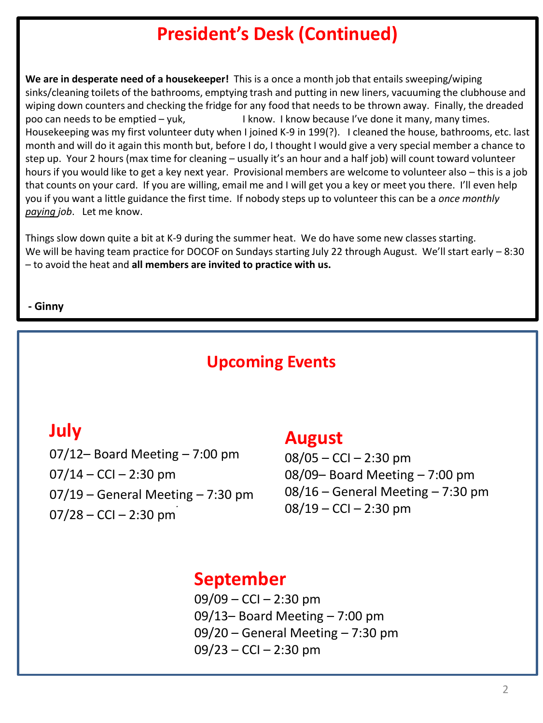# **President's Desk (Continued)**

**We are in desperate need of a housekeeper!** This is a once a month job that entails sweeping/wiping sinks/cleaning toilets of the bathrooms, emptying trash and putting in new liners, vacuuming the clubhouse and wiping down counters and checking the fridge for any food that needs to be thrown away. Finally, the dreaded poo can needs to be emptied – yuk, and it know. I know because I've done it many, many times. Housekeeping was my first volunteer duty when I joined K-9 in 199(?). I cleaned the house, bathrooms, etc. last month and will do it again this month but, before I do, I thought I would give a very special member a chance to step up. Your 2 hours (max time for cleaning – usually it's an hour and a half job) will count toward volunteer hours if you would like to get a key next year. Provisional members are welcome to volunteer also – this is a job that counts on your card. If you are willing, email me and I will get you a key or meet you there. I'll even help you if you want a little guidance the first time. If nobody steps up to volunteer this can be a *once monthly paying job*. Let me know.

Things slow down quite a bit at K-9 during the summer heat. We do have some new classes starting. We will be having team practice for DOCOF on Sundays starting July 22 through August. We'll start early – 8:30 – to avoid the heat and **all members are invited to practice with us.** 

#### **- Ginny**

# **Upcoming Events**

## **July**

*.*  07/12– Board Meeting – 7:00 pm  $07/14 - CCl - 2:30$  pm 07/19 – General Meeting – 7:30 pm 07/28 – CCI – 2:30 pm

## **August**

08/05 – CCI – 2:30 pm 08/09– Board Meeting – 7:00 pm 08/16 – General Meeting – 7:30 pm  $08/19 - CCl - 2:30$  pm

# **September**

 $09/09 - CCl - 2:30$  pm 09/13– Board Meeting – 7:00 pm 09/20 – General Meeting – 7:30 pm  $09/23 - CCl - 2:30$  pm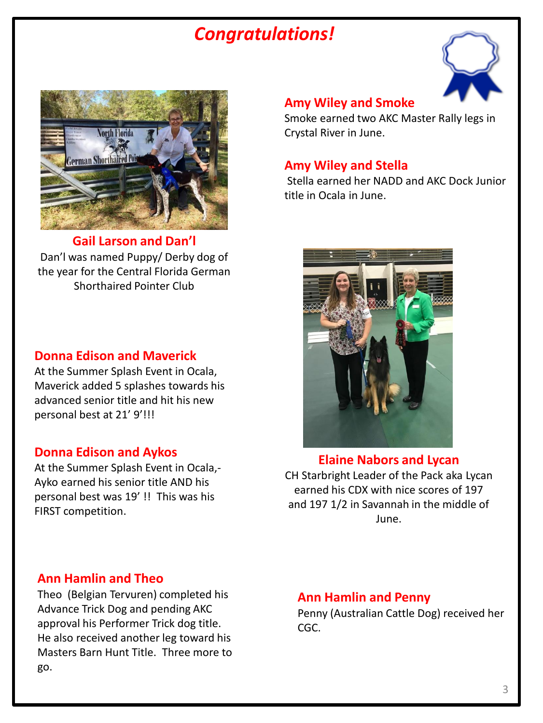# *Congratulations!*





**Gail Larson and Dan'l** Dan'l was named Puppy/ Derby dog of the year for the Central Florida German Shorthaired Pointer Club

### **Donna Edison and Maverick**

At the Summer Splash Event in Ocala, Maverick added 5 splashes towards his advanced senior title and hit his new personal best at 21' 9'!!!

### **Donna Edison and Aykos**

At the Summer Splash Event in Ocala,- Ayko earned his senior title AND his personal best was 19' !! This was his FIRST competition.

#### **Amy Wiley and Smoke**

Smoke earned two AKC Master Rally legs in Crystal River in June.

### **Amy Wiley and Stella**

Stella earned her NADD and AKC Dock Junior title in Ocala in June.



**Elaine Nabors and Lycan** CH Starbright Leader of the Pack aka Lycan earned his CDX with nice scores of 197 and 197 1/2 in Savannah in the middle of June.

### **Ann Hamlin and Theo**

Theo (Belgian Tervuren) completed his Advance Trick Dog and pending AKC approval his Performer Trick dog title. He also received another leg toward his Masters Barn Hunt Title. Three more to go.

### **Ann Hamlin and Penny**

Penny (Australian Cattle Dog) received her CGC.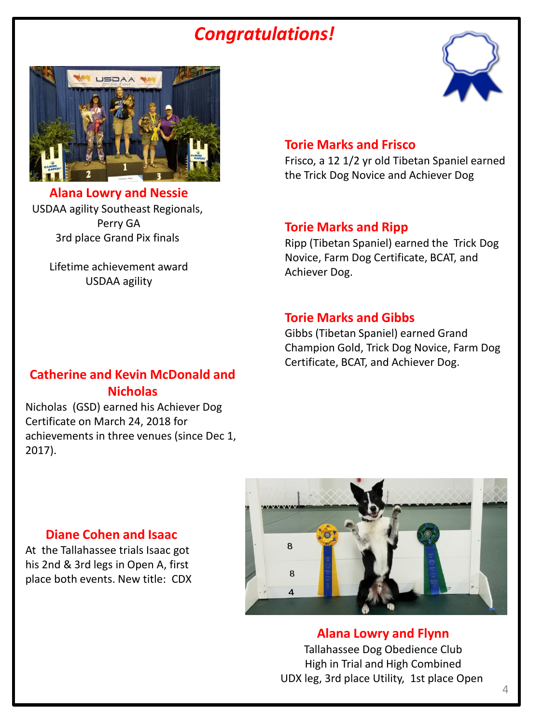# *Congratulations!*





**Alana Lowry and Nessie** USDAA agility Southeast Regionals, Perry GA 3rd place Grand Pix finals

Lifetime achievement award USDAA agility

#### **Torie Marks and Frisco**

Frisco, a 12 1/2 yr old Tibetan Spaniel earned the Trick Dog Novice and Achiever Dog

#### **Torie Marks and Ripp**

Ripp (Tibetan Spaniel) earned the Trick Dog Novice, Farm Dog Certificate, BCAT, and Achiever Dog.

#### **Torie Marks and Gibbs**

Gibbs (Tibetan Spaniel) earned Grand Champion Gold, Trick Dog Novice, Farm Dog Certificate, BCAT, and Achiever Dog.

### **Catherine and Kevin McDonald and Nicholas**

Nicholas (GSD) earned his Achiever Dog Certificate on March 24, 2018 for achievements in three venues (since Dec 1, 2017).



**Alana Lowry and Flynn** Tallahassee Dog Obedience Club High in Trial and High Combined UDX leg, 3rd place Utility, 1st place Open

### **Diane Cohen and Isaac**

At the Tallahassee trials Isaac got his 2nd & 3rd legs in Open A, first place both events. New title: CDX